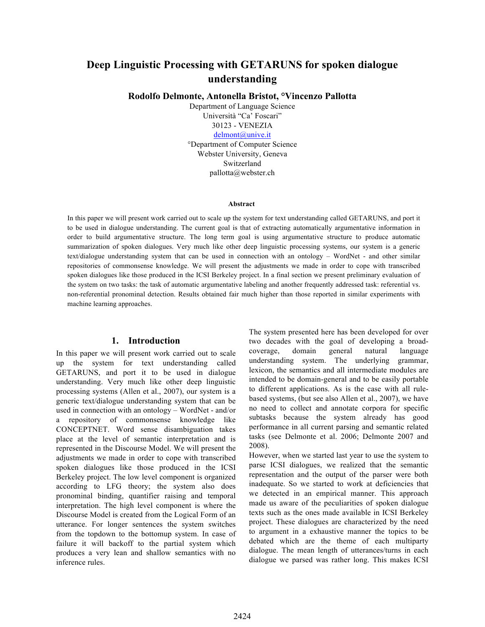# **Deep Linguistic Processing with GETARUNS for spoken dialogue understanding**

**Rodolfo Delmonte, Antonella Bristot, °Vincenzo Pallotta**

Department of Language Science Università "Ca' Foscari" 30123 - VENEZIA delmont@unive.it

°Department of Computer Science Webster University, Geneva Switzerland pallotta@webster.ch

#### **Abstract**

In this paper we will present work carried out to scale up the system for text understanding called GETARUNS, and port it to be used in dialogue understanding. The current goal is that of extracting automatically argumentative information in order to build argumentative structure. The long term goal is using argumentative structure to produce automatic summarization of spoken dialogues. Very much like other deep linguistic processing systems, our system is a generic text/dialogue understanding system that can be used in connection with an ontology – WordNet - and other similar repositories of commonsense knowledge. We will present the adjustments we made in order to cope with transcribed spoken dialogues like those produced in the ICSI Berkeley project. In a final section we present preliminary evaluation of the system on two tasks: the task of automatic argumentative labeling and another frequently addressed task: referential vs. non-referential pronominal detection. Results obtained fair much higher than those reported in similar experiments with machine learning approaches.

#### **1. Introduction**

In this paper we will present work carried out to scale up the system for text understanding called GETARUNS, and port it to be used in dialogue understanding. Very much like other deep linguistic processing systems (Allen et al., 2007), our system is a generic text/dialogue understanding system that can be used in connection with an ontology – WordNet - and/or a repository of commonsense knowledge like CONCEPTNET. Word sense disambiguation takes place at the level of semantic interpretation and is represented in the Discourse Model. We will present the adjustments we made in order to cope with transcribed spoken dialogues like those produced in the ICSI Berkeley project. The low level component is organized according to LFG theory; the system also does pronominal binding, quantifier raising and temporal interpretation. The high level component is where the Discourse Model is created from the Logical Form of an utterance. For longer sentences the system switches from the topdown to the bottomup system. In case of failure it will backoff to the partial system which produces a very lean and shallow semantics with no inference rules.

The system presented here has been developed for over two decades with the goal of developing a broadcoverage, domain general natural language understanding system. The underlying grammar, lexicon, the semantics and all intermediate modules are intended to be domain-general and to be easily portable to different applications. As is the case with all rulebased systems, (but see also Allen et al., 2007), we have no need to collect and annotate corpora for specific subtasks because the system already has good performance in all current parsing and semantic related tasks (see Delmonte et al. 2006; Delmonte 2007 and 2008).

However, when we started last year to use the system to parse ICSI dialogues, we realized that the semantic representation and the output of the parser were both inadequate. So we started to work at deficiencies that we detected in an empirical manner. This approach made us aware of the peculiarities of spoken dialogue texts such as the ones made available in ICSI Berkeley project. These dialogues are characterized by the need to argument in a exhaustive manner the topics to be debated which are the theme of each multiparty dialogue. The mean length of utterances/turns in each dialogue we parsed was rather long. This makes ICSI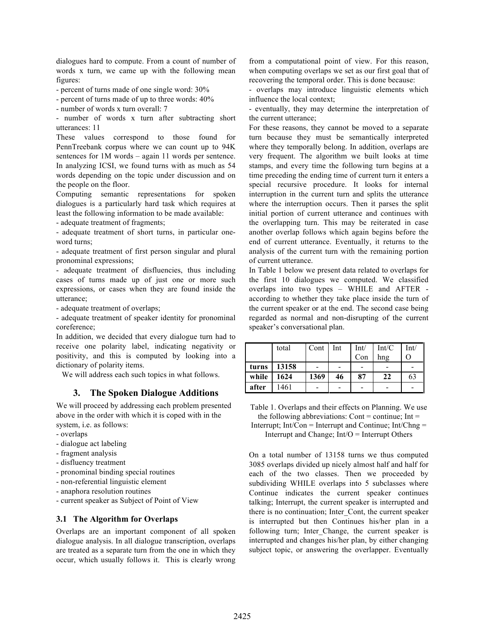dialogues hard to compute. From a count of number of words x turn, we came up with the following mean figures:

- percent of turns made of one single word: 30%

- percent of turns made of up to three words: 40%

- number of words x turn overall: 7

- number of words x turn after subtracting short utterances: 11

These values correspond to those found for PennTreebank corpus where we can count up to 94K sentences for 1M words – again 11 words per sentence. In analyzing ICSI, we found turns with as much as 54 words depending on the topic under discussion and on the people on the floor.

Computing semantic representations for spoken dialogues is a particularly hard task which requires at least the following information to be made available:

- adequate treatment of fragments;

- adequate treatment of short turns, in particular oneword turns;

- adequate treatment of first person singular and plural pronominal expressions;

- adequate treatment of disfluencies, thus including cases of turns made up of just one or more such expressions, or cases when they are found inside the utterance;

- adequate treatment of overlaps;

- adequate treatment of speaker identity for pronominal coreference;

In addition, we decided that every dialogue turn had to receive one polarity label, indicating negativity or positivity, and this is computed by looking into a dictionary of polarity items.

We will address each such topics in what follows.

## **3. The Spoken Dialogue Additions**

We will proceed by addressing each problem presented above in the order with which it is coped with in the system, i.e. as follows:

- overlaps
- dialogue act labeling
- fragment analysis
- disfluency treatment
- pronominal binding special routines
- non-referential linguistic element
- anaphora resolution routines
- current speaker as Subject of Point of View

#### **3.1 The Algorithm for Overlaps**

Overlaps are an important component of all spoken dialogue analysis. In all dialogue transcription, overlaps are treated as a separate turn from the one in which they occur, which usually follows it. This is clearly wrong from a computational point of view. For this reason, when computing overlaps we set as our first goal that of recovering the temporal order. This is done because:

- overlaps may introduce linguistic elements which influence the local context;

- eventually, they may determine the interpretation of the current utterance;

For these reasons, they cannot be moved to a separate turn because they must be semantically interpreted where they temporally belong. In addition, overlaps are very frequent. The algorithm we built looks at time stamps, and every time the following turn begins at a time preceding the ending time of current turn it enters a special recursive procedure. It looks for internal interruption in the current turn and splits the utterance where the interruption occurs. Then it parses the split initial portion of current utterance and continues with the overlapping turn. This may be reiterated in case another overlap follows which again begins before the end of current utterance. Eventually, it returns to the analysis of the current turn with the remaining portion of current utterance.

In Table 1 below we present data related to overlaps for the first 10 dialogues we computed. We classified overlaps into two types – WHILE and AFTER according to whether they take place inside the turn of the current speaker or at the end. The second case being regarded as normal and non-disrupting of the current speaker's conversational plan.

|       | total | Cont | Int | Int/ | Int/C | Int/ |
|-------|-------|------|-----|------|-------|------|
|       |       |      |     | Con  | hng   | O    |
| turns | 13158 |      |     |      |       |      |
| while | 1624  | 1369 | 46  | 87   | 22    | 63   |
| after | 1461  |      |     |      |       |      |

Table 1. Overlaps and their effects on Planning. We use the following abbreviations: Cont = continue;  $Int =$ Interrupt;  $Int/Con = Interrupt$  and Continue;  $Int/Chng =$ 

Interrupt and Change;  $Int/O = Interrupt$  Others

On a total number of 13158 turns we thus computed 3085 overlaps divided up nicely almost half and half for each of the two classes. Then we proceeded by subdividing WHILE overlaps into 5 subclasses where Continue indicates the current speaker continues talking; Interrupt, the current speaker is interrupted and there is no continuation; Inter\_Cont, the current speaker is interrupted but then Continues his/her plan in a following turn; Inter Change, the current speaker is interrupted and changes his/her plan, by either changing subject topic, or answering the overlapper. Eventually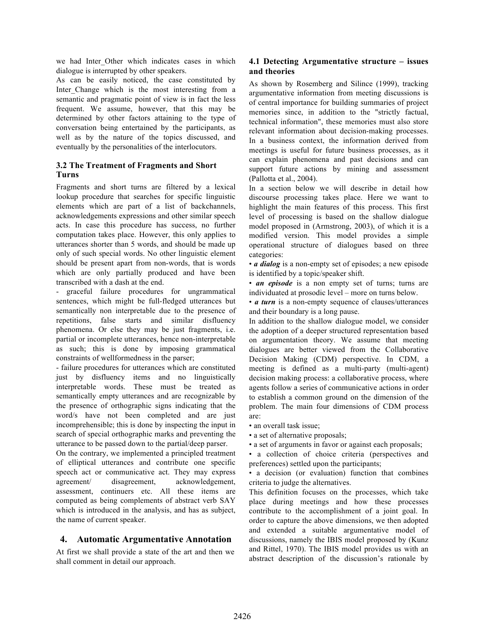we had Inter Other which indicates cases in which dialogue is interrupted by other speakers.

As can be easily noticed, the case constituted by Inter Change which is the most interesting from a semantic and pragmatic point of view is in fact the less frequent. We assume, however, that this may be determined by other factors attaining to the type of conversation being entertained by the participants, as well as by the nature of the topics discussed, and eventually by the personalities of the interlocutors.

## **3.2 The Treatment of Fragments and Short Turns**

Fragments and short turns are filtered by a lexical lookup procedure that searches for specific linguistic elements which are part of a list of backchannels, acknowledgements expressions and other similar speech acts. In case this procedure has success, no further computation takes place. However, this only applies to utterances shorter than 5 words, and should be made up only of such special words. No other linguistic element should be present apart from non-words, that is words which are only partially produced and have been transcribed with a dash at the end.

- graceful failure procedures for ungrammatical sentences, which might be full-fledged utterances but semantically non interpretable due to the presence of repetitions, false starts and similar disfluency phenomena. Or else they may be just fragments, i.e. partial or incomplete utterances, hence non-interpretable as such; this is done by imposing grammatical constraints of wellformedness in the parser;

- failure procedures for utterances which are constituted just by disfluency items and no linguistically interpretable words. These must be treated as semantically empty utterances and are recognizable by the presence of orthographic signs indicating that the word/s have not been completed and are just incomprehensible; this is done by inspecting the input in search of special orthographic marks and preventing the utterance to be passed down to the partial/deep parser.

On the contrary, we implemented a principled treatment of elliptical utterances and contribute one specific speech act or communicative act. They may express agreement/ disagreement, acknowledgement, assessment, continuers etc. All these items are computed as being complements of abstract verb SAY which is introduced in the analysis, and has as subject, the name of current speaker.

## **4. Automatic Argumentative Annotation**

At first we shall provide a state of the art and then we shall comment in detail our approach.

## **4.1 Detecting Argumentative structure – issues and theories**

As shown by Rosemberg and Silince (1999), tracking argumentative information from meeting discussions is of central importance for building summaries of project memories since, in addition to the "strictly factual, technical information", these memories must also store relevant information about decision-making processes. In a business context, the information derived from meetings is useful for future business processes, as it can explain phenomena and past decisions and can support future actions by mining and assessment (Pallotta et al., 2004).

In a section below we will describe in detail how discourse processing takes place. Here we want to highlight the main features of this process. This first level of processing is based on the shallow dialogue model proposed in (Armstrong, 2003), of which it is a modified version. This model provides a simple operational structure of dialogues based on three categories:

• *a dialog* is a non-empty set of episodes; a new episode is identified by a topic/speaker shift.

• *an episode* is a non empty set of turns; turns are individuated at prosodic level – more on turns below.

• *a turn* is a non-empty sequence of clauses/utterances and their boundary is a long pause.

In addition to the shallow dialogue model, we consider the adoption of a deeper structured representation based on argumentation theory. We assume that meeting dialogues are better viewed from the Collaborative Decision Making (CDM) perspective. In CDM, a meeting is defined as a multi-party (multi-agent) decision making process: a collaborative process, where agents follow a series of communicative actions in order to establish a common ground on the dimension of the problem. The main four dimensions of CDM process are:

• an overall task issue;

• a set of alternative proposals;

• a set of arguments in favor or against each proposals;

• a collection of choice criteria (perspectives and preferences) settled upon the participants;

• a decision (or evaluation) function that combines criteria to judge the alternatives.

This definition focuses on the processes, which take place during meetings and how these processes contribute to the accomplishment of a joint goal. In order to capture the above dimensions, we then adopted and extended a suitable argumentative model of discussions, namely the IBIS model proposed by (Kunz and Rittel, 1970). The IBIS model provides us with an abstract description of the discussion's rationale by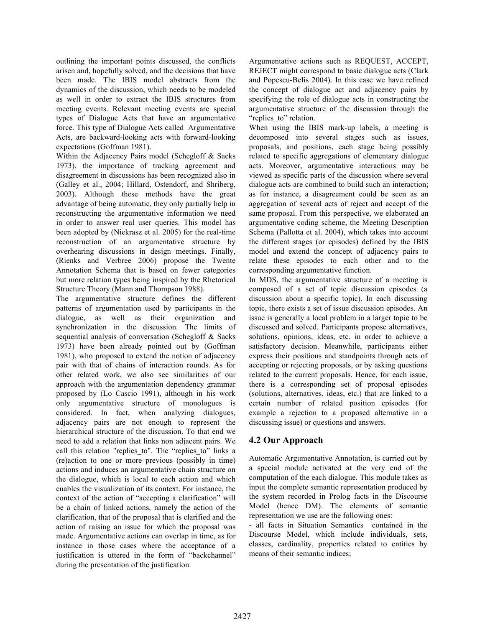outlining the important points discussed, the conflicts arisen and, hopefully solved, and the decisions that have been made. The IBIS model abstracts from the dynamics of the discussion, which needs to be modeled as well in order to extract the IBIS structures from meeting events. Relevant meeting events are special types of Dialogue Acts that have an argumentative force. This type of Dialogue Acts called Argumentative Acts, are backward-looking acts with forward-looking expectations (Goffman 1981).

Within the Adjacency Pairs model (Schegloff & Sacks 1973), the importance of tracking agreement and disagreement in discussions has been recognized also in (Galley et al., 2004; Hillard, Ostendorf, and Shriberg, 2003). Although these methods have the great advantage of being automatic, they only partially help in reconstructing the argumentative information we need in order to answer real user queries. This model has been adopted by (Niekrasz et al. 2005) for the real-time reconstruction of an argumentative structure by overhearing discussions in design meetings. Finally, (Rienks and Verbree 2006) propose the Twente Annotation Schema that is based on fewer categories but more relation types being inspired by the Rhetorical Structure Theory (Mann and Thompson 1988).

The argumentative structure defines the different patterns of argumentation used by participants in the dialogue, as well as their organization and synchronization in the discussion. The limits of sequential analysis of conversation (Schegloff & Sacks 1973) have been already pointed out by (Goffman 1981), who proposed to extend the notion of adjacency pair with that of chains of interaction rounds. As for other related work, we also see similarities of our approach with the argumentation dependency grammar proposed by (Lo Cascio 1991), although in his work only argumentative structure of monologues is considered. In fact, when analyzing dialogues, adjacency pairs are not enough to represent the hierarchical structure of the discussion. To that end we need to add a relation that links non adjacent pairs. We call this relation "replies to". The "replies to" links a (re)action to one or more previous (possibly in time) actions and induces an argumentative chain structure on the dialogue, which is local to each action and which enables the visualization of its context. For instance, the context of the action of "accepting a clarification" will be a chain of linked actions, namely the action of the clarification, that of the proposal that is clarified and the action of raising an issue for which the proposal was made. Argumentative actions can overlap in time, as for instance in those cases where the acceptance of a justification is uttered in the form of "backchannel" during the presentation of the justification.

Argumentative actions such as REQUEST, ACCEPT, REJECT might correspond to basic dialogue acts (Clark and Popescu-Belis 2004). In this case we have refined the concept of dialogue act and adjacency pairs by specifying the role of dialogue acts in constructing the argumentative structure of the discussion through the "replies to" relation.

When using the IBIS mark-up labels, a meeting is decomposed into several stages such as issues, proposals, and positions, each stage being possibly related to specific aggregations of elementary dialogue acts. Moreover, argumentative interactions may be viewed as specific parts of the discussion where several dialogue acts are combined to build such an interaction; as for instance, a disagreement could be seen as an aggregation of several acts of reject and accept of the same proposal. From this perspective, we elaborated an argumentative coding scheme, the Meeting Description Schema (Pallotta et al. 2004), which takes into account the different stages (or episodes) defined by the IBIS model and extend the concept of adjacency pairs to relate these episodes to each other and to the corresponding argumentative function.

In MDS, the argumentative structure of a meeting is composed of a set of topic discussion episodes (a discussion about a specific topic). In each discussing topic, there exists a set of issue discussion episodes. An issue is generally a local problem in a larger topic to be discussed and solved. Participants propose alternatives, solutions, opinions, ideas, etc. in order to achieve a satisfactory decision. Meanwhile, participants either express their positions and standpoints through acts of accepting or rejecting proposals, or by asking questions related to the current proposals. Hence, for each issue, there is a corresponding set of proposal episodes (solutions, alternatives, ideas, etc.) that are linked to a certain number of related position episodes (for example a rejection to a proposed alternative in a discussing issue) or questions and answers.

## **4.2 Our Approach**

Automatic Argumentative Annotation, is carried out by a special module activated at the very end of the computation of the each dialogue. This module takes as input the complete semantic representation produced by the system recorded in Prolog facts in the Discourse Model (hence DM). The elements of semantic representation we use are the following ones:

- all facts in Situation Semantics contained in the Discourse Model, which include individuals, sets, classes, cardinality, properties related to entities by means of their semantic indices;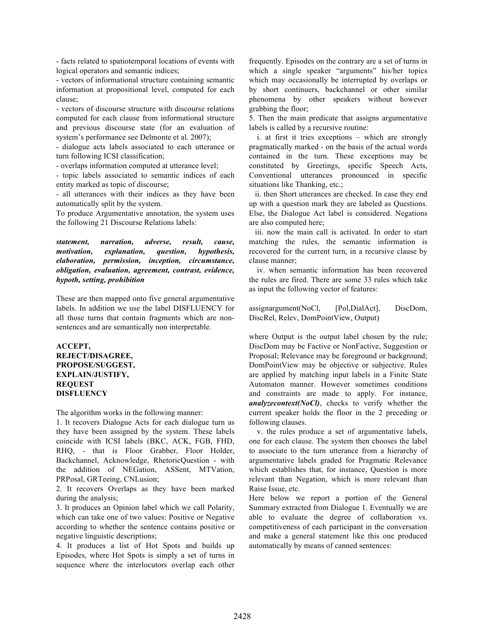- facts related to spatiotemporal locations of events with logical operators and semantic indices;

- vectors of informational structure containing semantic information at propositional level, computed for each clause;

- vectors of discourse structure with discourse relations computed for each clause from informational structure and previous discourse state (for an evaluation of system's performance see Delmonte et al. 2007);

- dialogue acts labels associated to each utterance or turn following ICSI classification;

- overlaps information computed at utterance level;

- topic labels associated to semantic indices of each entity marked as topic of discourse;

- all utterances with their indices as they have been automatically split by the system.

To produce Argumentative annotation, the system uses the following 21 Discourse Relations labels:

*statement, narration, adverse, result, cause, motivation, explanation, question, hypothesis, elaboration, permission, inception, circumstance, obligation, evaluation, agreement, contrast, evidence, hypoth, setting, prohibition*

These are then mapped onto five general argumentative labels. In addition we use the label DISFLUENCY for all those turns that contain fragments which are nonsentences and are semantically non interpretable.

### **ACCEPT, REJECT/DISAGREE, PROPOSE/SUGGEST, EXPLAIN/JUSTIFY, REQUEST DISFLUENCY**

The algorithm works in the following manner:

1. It recovers Dialogue Acts for each dialogue turn as they have been assigned by the system. These labels coincide with ICSI labels (BKC, ACK, FGB, FHD, RHQ, - that is Floor Grabber, Floor Holder, Backchannel, Acknowledge, RhetoricQuestion - with the addition of NEGation, ASSent, MTVation, PRPosal, GRTeeing, CNLusion;

2. It recovers Overlaps as they have been marked during the analysis;

3. It produces an Opinion label which we call Polarity, which can take one of two values: Positive or Negative according to whether the sentence contains positive or negative linguistic descriptions;

4. It produces a list of Hot Spots and builds up Episodes, where Hot Spots is simply a set of turns in sequence where the interlocutors overlap each other frequently. Episodes on the contrary are a set of turns in which a single speaker "arguments" his/her topics which may occasionally be interrupted by overlaps or by short continuers, backchannel or other similar phenomena by other speakers without however grabbing the floor;

5. Then the main predicate that assigns argumentative labels is called by a recursive routine:

 i. at first it tries exceptions – which are strongly pragmatically marked - on the basis of the actual words contained in the turn. These exceptions may be constituted by Greetings, specific Speech Acts, Conventional utterances pronounced in specific situations like Thanking, etc.;

 ii. then Short utterances are checked. In case they end up with a question mark they are labeled as Questions. Else, the Dialogue Act label is considered. Negations are also computed here;

 iii. now the main call is activated. In order to start matching the rules, the semantic information is recovered for the current turn, in a recursive clause by clause manner;

 iv. when semantic information has been recovered the rules are fired. There are some 33 rules which take as input the following vector of features:

assignargument(NoCl, [Pol,DialAct], DiscDom, DiscRel, Relev, DomPointView, Output)

where Output is the output label chosen by the rule; DiscDom may be Factive or NonFactive, Suggestion or Proposal; Relevance may be foreground or background; DomPointView may be objective or subjective. Rules are applied by matching input labels in a Finite State Automaton manner. However sometimes conditions and constraints are made to apply. For instance, *analyzecontext(NoCl)*, checks to verify whether the current speaker holds the floor in the 2 preceding or following clauses.

 v. the rules produce a set of argumentative labels, one for each clause. The system then chooses the label to associate to the turn utterance from a hierarchy of argumentative labels graded for Pragmatic Relevance which establishes that, for instance, Question is more relevant than Negation, which is more relevant than Raise Issue, etc.

Here below we report a portion of the General Summary extracted from Dialogue 1. Eventually we are able to evaluate the degree of collaboration vs. competitiveness of each participant in the conversation and make a general statement like this one produced automatically by means of canned sentences: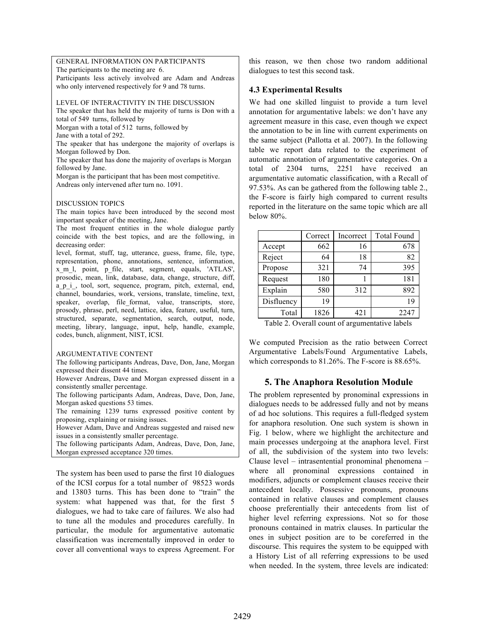GENERAL INFORMATION ON PARTICIPANTS The participants to the meeting are 6.

Participants less actively involved are Adam and Andreas who only intervened respectively for 9 and 78 turns.

LEVEL OF INTERACTIVITY IN THE DISCUSSION

The speaker that has held the majority of turns is Don with a total of 549 turns, followed by

Morgan with a total of 512 turns, followed by

Jane with a total of 292.

The speaker that has undergone the majority of overlaps is Morgan followed by Don.

The speaker that has done the majority of overlaps is Morgan followed by Jane.

Morgan is the participant that has been most competitive. Andreas only intervened after turn no. 1091.

#### DISCUSSION TOPICS

The main topics have been introduced by the second most important speaker of the meeting, Jane.

The most frequent entities in the whole dialogue partly coincide with the best topics, and are the following, in decreasing order:

level, format, stuff, tag, utterance, guess, frame, file, type, representation, phone, annotations, sentence, information, x\_m\_l, point, p\_file, start, segment, equals, 'ATLAS', prosodic, mean, link, database, data, change, structure, diff, a p i , tool, sort, sequence, program, pitch, external, end, channel, boundaries, work, versions, translate, timeline, text, speaker, overlap, file format, value, transcripts, store, prosody, phrase, perl, need, lattice, idea, feature, useful, turn, structured, separate, segmentation, search, output, node, meeting, library, language, input, help, handle, example, codes, bunch, alignment, NIST, ICSI.

#### ARGUMENTATIVE CONTENT

The following participants Andreas, Dave, Don, Jane, Morgan expressed their dissent 44 times.

However Andreas, Dave and Morgan expressed dissent in a consistently smaller percentage.

The following participants Adam, Andreas, Dave, Don, Jane, Morgan asked questions 53 times.

The remaining 1239 turns expressed positive content by proposing, explaining or raising issues.

However Adam, Dave and Andreas suggested and raised new issues in a consistently smaller percentage.

The following participants Adam, Andreas, Dave, Don, Jane, Morgan expressed acceptance 320 times.

The system has been used to parse the first 10 dialogues of the ICSI corpus for a total number of 98523 words and 13803 turns. This has been done to "train" the system: what happened was that, for the first 5 dialogues, we had to take care of failures. We also had to tune all the modules and procedures carefully. In particular, the module for argumentative automatic classification was incrementally improved in order to cover all conventional ways to express Agreement. For this reason, we then chose two random additional dialogues to test this second task.

## **4.3 Experimental Results**

We had one skilled linguist to provide a turn level annotation for argumentative labels: we don't have any agreement measure in this case, even though we expect the annotation to be in line with current experiments on the same subject (Pallotta et al. 2007). In the following table we report data related to the experiment of automatic annotation of argumentative categories. On a total of 2304 turns, 2251 have received an argumentative automatic classification, with a Recall of 97.53%. As can be gathered from the following table 2., the F-score is fairly high compared to current results reported in the literature on the same topic which are all below 80%.

|            | Correct | Incorrect | <b>Total Found</b> |
|------------|---------|-----------|--------------------|
| Accept     | 662     | 16        | 678                |
| Reject     | 64      | 18        | 82                 |
| Propose    | 321     | 74        | 395                |
| Request    | 180     |           | 181                |
| Explain    | 580     | 312       | 892                |
| Disfluency | 19      |           | 19                 |
| Total      | 1826    | 421       | 2247               |

Table 2. Overall count of argumentative labels

We computed Precision as the ratio between Correct Argumentative Labels/Found Argumentative Labels, which corresponds to 81.26%. The F-score is 88.65%.

### **5. The Anaphora Resolution Module**

The problem represented by pronominal expressions in dialogues needs to be addressed fully and not by means of ad hoc solutions. This requires a full-fledged system for anaphora resolution. One such system is shown in Fig. 1 below, where we highlight the architecture and main processes undergoing at the anaphora level. First of all, the subdivision of the system into two levels: Clause level – intrasentential pronominal phenomena – where all pronominal expressions contained in modifiers, adjuncts or complement clauses receive their antecedent locally. Possessive pronouns, pronouns contained in relative clauses and complement clauses choose preferentially their antecedents from list of higher level referring expressions. Not so for those pronouns contained in matrix clauses. In particular the ones in subject position are to be coreferred in the discourse. This requires the system to be equipped with a History List of all referring expressions to be used when needed. In the system, three levels are indicated: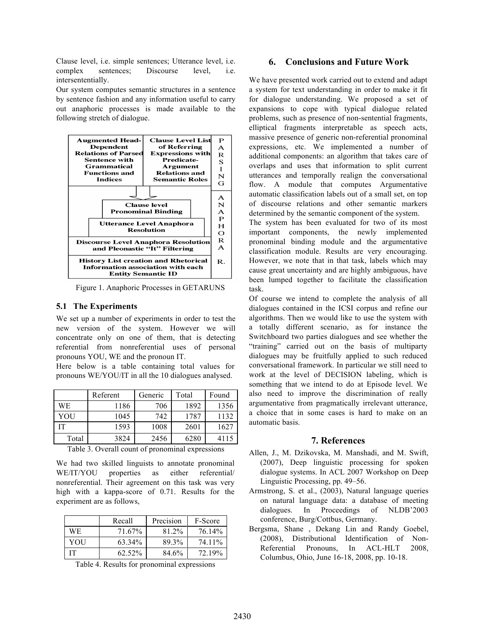Clause level, i.e. simple sentences; Utterance level, i.e. complex sentences; Discourse level, i.e. intersententially.

Our system computes semantic structures in a sentence by sentence fashion and any information useful to carry out anaphoric processes is made available to the following stretch of dialogue.



Figure 1. Anaphoric Processes in GETARUNS

#### **5.1 The Experiments**

We set up a number of experiments in order to test the new version of the system. However we will concentrate only on one of them, that is detecting referential from nonreferential uses of personal pronouns YOU, WE and the pronoun IT.

Here below is a table containing total values for pronouns WE/YOU/IT in all the 10 dialogues analysed.

|       | Referent | Generic | Total | Found |
|-------|----------|---------|-------|-------|
| WЕ    | 1186     | 706     | 1892  | 1356  |
| YOU   | 1045     | 742     | 1787  | 1132  |
| IТ    | 1593     | 1008    | 2601  | 1627  |
| Total | 3824     | 2456    | 6280  | 4115  |

Table 3. Overall count of pronominal expressions

We had two skilled linguists to annotate pronominal WE/IT/YOU properties as either referential/ nonreferential. Their agreement on this task was very high with a kappa-score of 0.71. Results for the experiment are as follows,

|     | Recall | Precision | F-Score |
|-----|--------|-----------|---------|
| WE  | 71.67% | 81.2%     | 76.14%  |
| YOU | 63.34% | 89.3%     | 74.11%  |
| IТ  | 62.52% | 84.6%     | 72.19%  |

Table 4. Results for pronominal expressions

### **6. Conclusions and Future Work**

We have presented work carried out to extend and adapt a system for text understanding in order to make it fit for dialogue understanding. We proposed a set of expansions to cope with typical dialogue related problems, such as presence of non-sentential fragments, elliptical fragments interpretable as speech acts, massive presence of generic non-referential pronominal expressions, etc. We implemented a number of additional components: an algorithm that takes care of overlaps and uses that information to split current utterances and temporally realign the conversational flow. A module that computes Argumentative automatic classification labels out of a small set, on top of discourse relations and other semantic markers determined by the semantic component of the system.

The system has been evaluated for two of its most important components, the newly implemented pronominal binding module and the argumentative classification module. Results are very encouraging. However, we note that in that task, labels which may cause great uncertainty and are highly ambiguous, have been lumped together to facilitate the classification task.

Of course we intend to complete the analysis of all dialogues contained in the ICSI corpus and refine our algorithms. Then we would like to use the system with a totally different scenario, as for instance the Switchboard two parties dialogues and see whether the "training" carried out on the basis of multiparty dialogues may be fruitfully applied to such reduced conversational framework. In particular we still need to work at the level of DECISION labeling, which is something that we intend to do at Episode level. We also need to improve the discrimination of really argumentative from pragmatically irrelevant utterance, a choice that in some cases is hard to make on an automatic basis.

#### **7. References**

- Allen, J., M. Dzikovska, M. Manshadi, and M. Swift, (2007), Deep linguistic processing for spoken dialogue systems. In ACL 2007 Workshop on Deep Linguistic Processing, pp. 49–56.
- Armstrong, S. et al., (2003), Natural language queries on natural language data: a database of meeting dialogues. In Proceedings of NLDB'2003 conference, Burg/Cottbus, Germany.
- Bergsma, Shane , Dekang Lin and Randy Goebel, (2008), Distributional Identification of Non-Referential Pronouns, In ACL-HLT 2008, Columbus, Ohio, June 16-18, 2008, pp. 10-18.